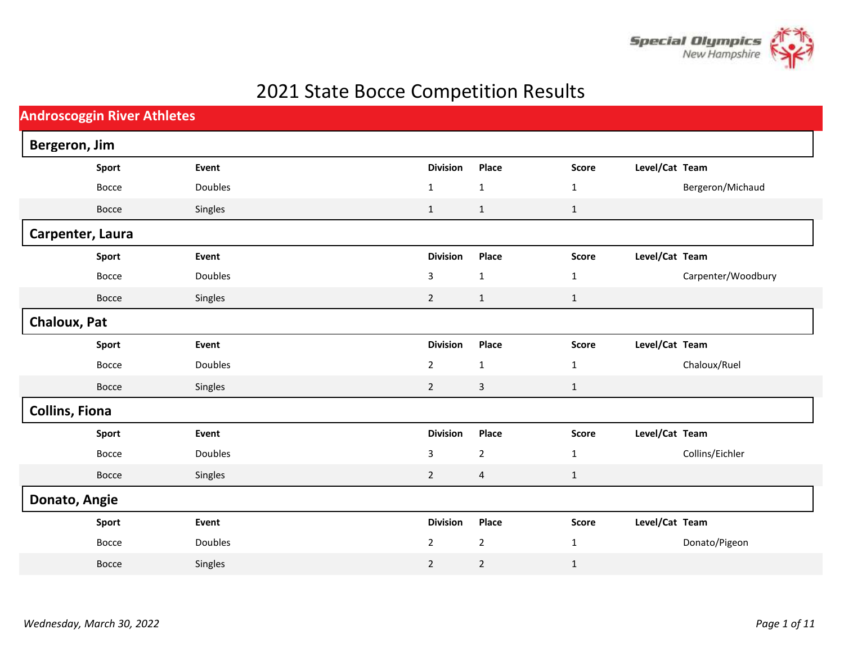

## 2021 State Bocce Competition Results

| <b>Androscoggin River Athletes</b> |                  |                |  |                 |                |              |                |                    |  |  |
|------------------------------------|------------------|----------------|--|-----------------|----------------|--------------|----------------|--------------------|--|--|
|                                    | Bergeron, Jim    |                |  |                 |                |              |                |                    |  |  |
|                                    | Sport            | Event          |  | <b>Division</b> | Place          | Score        | Level/Cat Team |                    |  |  |
|                                    | Bocce            | Doubles        |  | $\mathbf{1}$    | $\mathbf{1}$   | 1            |                | Bergeron/Michaud   |  |  |
|                                    | Bocce            | Singles        |  | $\mathbf 1$     | $\mathbf{1}$   | $\mathbf{1}$ |                |                    |  |  |
|                                    | Carpenter, Laura |                |  |                 |                |              |                |                    |  |  |
|                                    | Sport            | Event          |  | <b>Division</b> | Place          | <b>Score</b> | Level/Cat Team |                    |  |  |
|                                    | Bocce            | Doubles        |  | 3               | $\mathbf 1$    | $\mathbf{1}$ |                | Carpenter/Woodbury |  |  |
|                                    | Bocce            | Singles        |  | $\overline{2}$  | $\mathbf 1$    | $\mathbf{1}$ |                |                    |  |  |
|                                    | Chaloux, Pat     |                |  |                 |                |              |                |                    |  |  |
|                                    | Sport            | Event          |  | <b>Division</b> | Place          | <b>Score</b> | Level/Cat Team |                    |  |  |
|                                    | Bocce            | <b>Doubles</b> |  | $\overline{2}$  | $\mathbf{1}$   | $\mathbf{1}$ |                | Chaloux/Ruel       |  |  |
|                                    | Bocce            | Singles        |  | $\overline{2}$  | 3              | $\mathbf{1}$ |                |                    |  |  |
| <b>Collins, Fiona</b>              |                  |                |  |                 |                |              |                |                    |  |  |
|                                    | Sport            | Event          |  | <b>Division</b> | Place          | <b>Score</b> | Level/Cat Team |                    |  |  |
|                                    | Bocce            | Doubles        |  | 3               | $\overline{2}$ | 1            |                | Collins/Eichler    |  |  |
|                                    | Bocce            | Singles        |  | $\overline{2}$  | $\overline{a}$ | $\mathbf{1}$ |                |                    |  |  |
|                                    | Donato, Angie    |                |  |                 |                |              |                |                    |  |  |
|                                    | Sport            | Event          |  | <b>Division</b> | Place          | <b>Score</b> | Level/Cat Team |                    |  |  |
|                                    | Bocce            | Doubles        |  | $\overline{2}$  | $\mathbf{2}$   | $\mathbf{1}$ |                | Donato/Pigeon      |  |  |
|                                    | Bocce            | Singles        |  | $\mathbf 2$     | $\overline{2}$ | $\mathbf{1}$ |                |                    |  |  |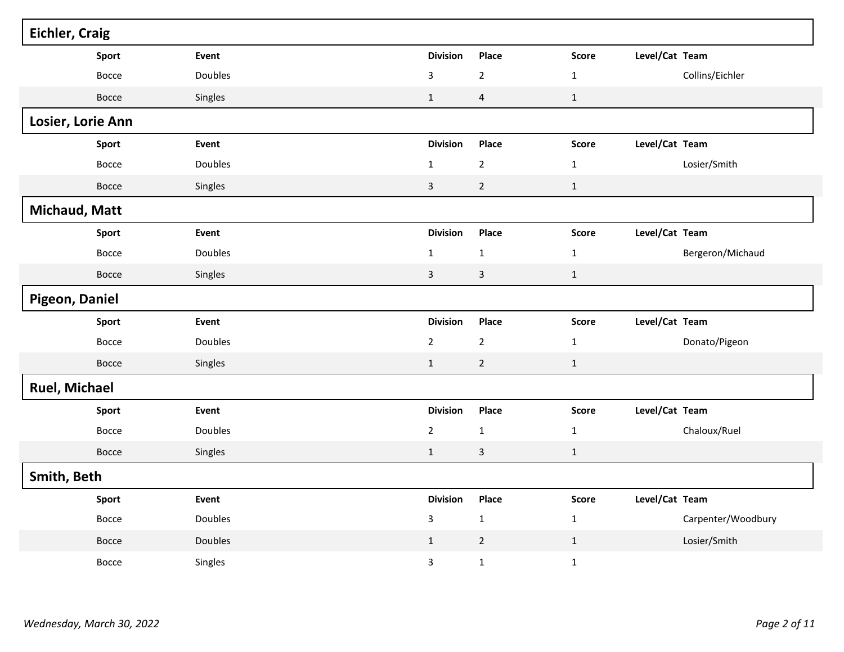| <b>Eichler, Craig</b> |       |                |                 |                         |              |                |                    |  |
|-----------------------|-------|----------------|-----------------|-------------------------|--------------|----------------|--------------------|--|
|                       | Sport | Event          | <b>Division</b> | Place                   | <b>Score</b> | Level/Cat Team |                    |  |
|                       | Bocce | Doubles        | 3               | $\mathbf 2$             | $\mathbf{1}$ |                | Collins/Eichler    |  |
|                       | Bocce | Singles        | $\mathbf 1$     | $\overline{\mathbf{4}}$ | $\mathbf{1}$ |                |                    |  |
| Losier, Lorie Ann     |       |                |                 |                         |              |                |                    |  |
|                       | Sport | Event          | <b>Division</b> | Place                   | Score        | Level/Cat Team |                    |  |
|                       | Bocce | <b>Doubles</b> | $\mathbf{1}$    | $\overline{2}$          | $\mathbf{1}$ |                | Losier/Smith       |  |
|                       | Bocce | Singles        | $\mathsf{3}$    | $\overline{2}$          | $\mathbf{1}$ |                |                    |  |
| Michaud, Matt         |       |                |                 |                         |              |                |                    |  |
|                       | Sport | Event          | <b>Division</b> | Place                   | <b>Score</b> | Level/Cat Team |                    |  |
|                       | Bocce | Doubles        | $\mathbf 1$     | $\mathbf 1$             | $\mathbf{1}$ |                | Bergeron/Michaud   |  |
|                       | Bocce | Singles        | $\mathsf{3}$    | $\overline{3}$          | $\mathbf{1}$ |                |                    |  |
| Pigeon, Daniel        |       |                |                 |                         |              |                |                    |  |
|                       | Sport | Event          | <b>Division</b> | Place                   | Score        | Level/Cat Team |                    |  |
|                       | Bocce | Doubles        | $\mathbf 2$     | $\overline{2}$          | $\mathbf 1$  |                | Donato/Pigeon      |  |
|                       | Bocce | Singles        | $\,1\,$         | $\overline{2}$          | $\mathbf{1}$ |                |                    |  |
| <b>Ruel, Michael</b>  |       |                |                 |                         |              |                |                    |  |
|                       | Sport | Event          | <b>Division</b> | Place                   | <b>Score</b> | Level/Cat Team |                    |  |
|                       | Bocce | Doubles        | $\overline{2}$  | $\mathbf 1$             | $\mathbf 1$  |                | Chaloux/Ruel       |  |
|                       | Bocce | Singles        | $\,1\,$         | 3                       | $\mathbf 1$  |                |                    |  |
| Smith, Beth           |       |                |                 |                         |              |                |                    |  |
|                       | Sport | Event          | <b>Division</b> | Place                   | Score        | Level/Cat Team |                    |  |
|                       | Bocce | Doubles        | 3               | $\mathbf 1$             | $\mathbf{1}$ |                | Carpenter/Woodbury |  |
|                       | Bocce | Doubles        | $\mathbf{1}$    | $\overline{2}$          | $\mathbf{1}$ |                | Losier/Smith       |  |
|                       | Bocce | Singles        | 3               | $\mathbf 1$             | $\mathbf{1}$ |                |                    |  |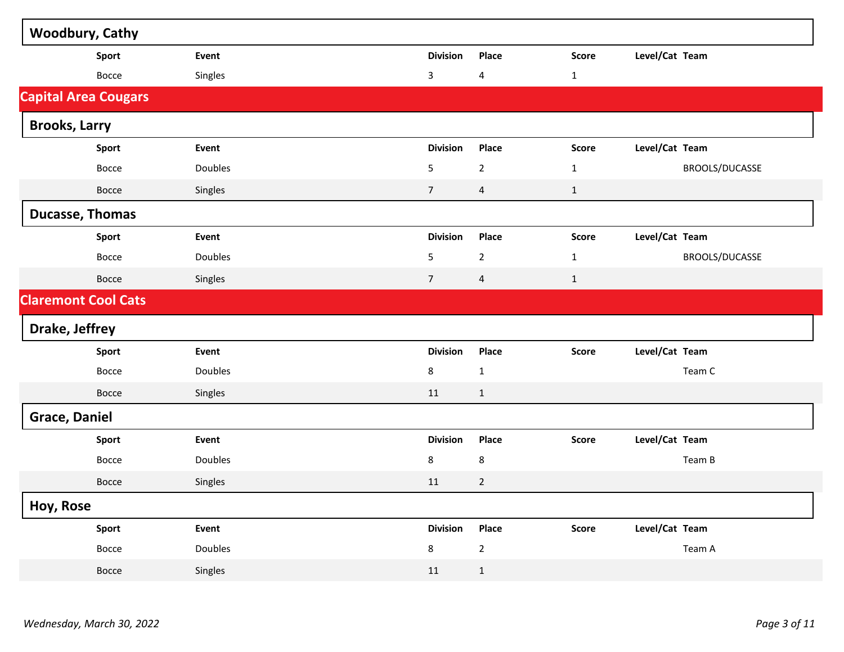| <b>Woodbury, Cathy</b>      |         |                 |                         |              |                |
|-----------------------------|---------|-----------------|-------------------------|--------------|----------------|
| Sport                       | Event   | <b>Division</b> | Place                   | <b>Score</b> | Level/Cat Team |
| Bocce                       | Singles | 3               | $\overline{4}$          | $\mathbf{1}$ |                |
| <b>Capital Area Cougars</b> |         |                 |                         |              |                |
| <b>Brooks, Larry</b>        |         |                 |                         |              |                |
| Sport                       | Event   | <b>Division</b> | Place                   | <b>Score</b> | Level/Cat Team |
| Bocce                       | Doubles | 5               | $\overline{2}$          | $\mathbf{1}$ | BROOLS/DUCASSE |
| Bocce                       | Singles | $\overline{7}$  | $\overline{\mathbf{4}}$ | $\mathbf{1}$ |                |
| <b>Ducasse, Thomas</b>      |         |                 |                         |              |                |
| Sport                       | Event   | <b>Division</b> | Place                   | <b>Score</b> | Level/Cat Team |
| Bocce                       | Doubles | 5               | $\overline{2}$          | $\mathbf{1}$ | BROOLS/DUCASSE |
| <b>Bocce</b>                | Singles | $\overline{7}$  | $\overline{4}$          | $\mathbf{1}$ |                |
| <b>Claremont Cool Cats</b>  |         |                 |                         |              |                |
| Drake, Jeffrey              |         |                 |                         |              |                |
| Sport                       | Event   | <b>Division</b> | Place                   | <b>Score</b> | Level/Cat Team |
| Bocce                       | Doubles | 8               | $\mathbf{1}$            |              | Team C         |
| Bocce                       | Singles | 11              | $\mathbf{1}$            |              |                |
| <b>Grace, Daniel</b>        |         |                 |                         |              |                |
| Sport                       | Event   | <b>Division</b> | Place                   | <b>Score</b> | Level/Cat Team |
| Bocce                       | Doubles | 8               | 8                       |              | Team B         |
| Bocce                       | Singles | 11              | $\overline{2}$          |              |                |
| Hoy, Rose                   |         |                 |                         |              |                |
| Sport                       | Event   | <b>Division</b> | Place                   | Score        | Level/Cat Team |
| Bocce                       | Doubles | 8               | $\overline{2}$          |              | Team A         |
| <b>Bocce</b>                | Singles | 11              | $\mathbf{1}$            |              |                |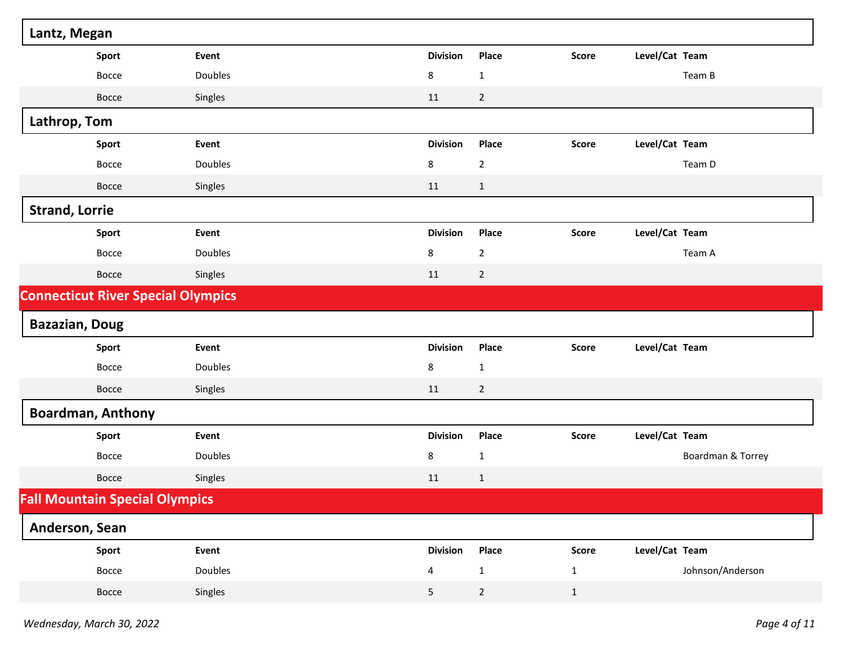| Lantz, Megan                          |                                           |                         |                |                                |                   |
|---------------------------------------|-------------------------------------------|-------------------------|----------------|--------------------------------|-------------------|
| Sport                                 | Event                                     | <b>Division</b>         | Place          | Level/Cat Team<br><b>Score</b> |                   |
| Bocce                                 | Doubles                                   | 8                       | $\mathbf{1}$   | Team B                         |                   |
| Bocce                                 | Singles                                   | 11                      | $\overline{2}$ |                                |                   |
| Lathrop, Tom                          |                                           |                         |                |                                |                   |
| Sport                                 | Event                                     | <b>Division</b>         | Place          | Level/Cat Team<br><b>Score</b> |                   |
| Bocce                                 | Doubles                                   | 8                       | $\mathbf 2$    | Team D                         |                   |
| Bocce                                 | Singles                                   | 11                      | $\mathbf{1}$   |                                |                   |
| <b>Strand, Lorrie</b>                 |                                           |                         |                |                                |                   |
| Sport                                 | Event                                     | <b>Division</b>         | Place          | Level/Cat Team<br><b>Score</b> |                   |
| Bocce                                 | Doubles                                   | 8                       | $\mathbf 2$    | Team A                         |                   |
| Bocce                                 | Singles                                   | 11                      | $\overline{2}$ |                                |                   |
|                                       | <b>Connecticut River Special Olympics</b> |                         |                |                                |                   |
| <b>Bazazian, Doug</b>                 |                                           |                         |                |                                |                   |
| Sport                                 | Event                                     | <b>Division</b>         | Place          | Level/Cat Team<br><b>Score</b> |                   |
| Bocce                                 | Doubles                                   | 8                       | $\mathbf{1}$   |                                |                   |
| Bocce                                 | Singles                                   | 11                      | $\overline{2}$ |                                |                   |
| <b>Boardman, Anthony</b>              |                                           |                         |                |                                |                   |
| Sport                                 | Event                                     | <b>Division</b>         | Place          | Level/Cat Team<br><b>Score</b> |                   |
| Bocce                                 | Doubles                                   | 8                       | $\mathbf{1}$   |                                | Boardman & Torrey |
| Bocce                                 | Singles                                   | 11                      | $\mathbf{1}$   |                                |                   |
| <b>Fall Mountain Special Olympics</b> |                                           |                         |                |                                |                   |
| Anderson, Sean                        |                                           |                         |                |                                |                   |
| Sport                                 | Event                                     | <b>Division</b>         | Place          | Level/Cat Team<br>Score        |                   |
| Bocce                                 | Doubles                                   | $\overline{\mathbf{4}}$ | $\mathbf 1$    | $\mathbf{1}$                   | Johnson/Anderson  |
| Bocce                                 | Singles                                   | 5                       | $\overline{2}$ | $\mathbf{1}$                   |                   |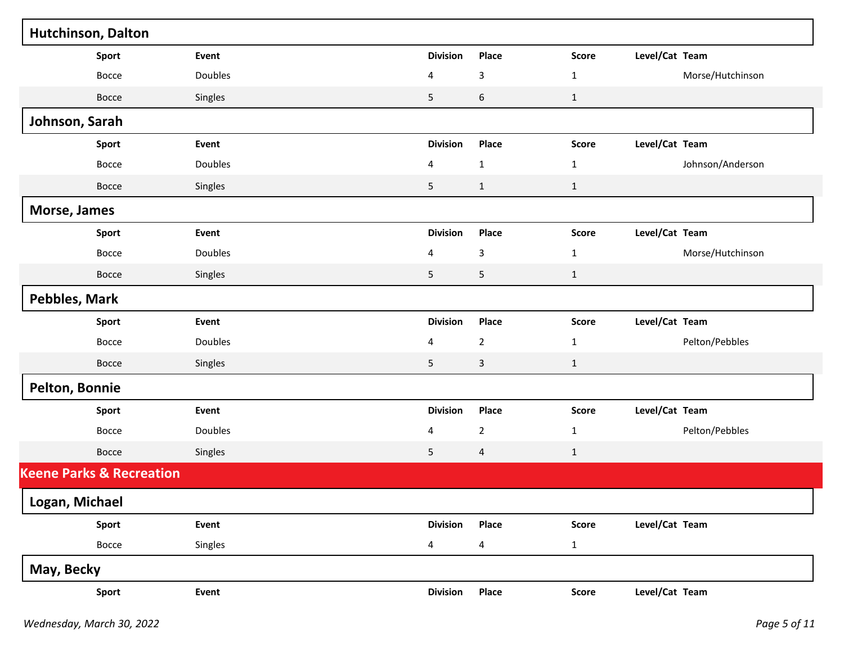| <b>Hutchinson, Dalton</b>           |         |                         |                         |              |                  |
|-------------------------------------|---------|-------------------------|-------------------------|--------------|------------------|
| Sport                               | Event   | <b>Division</b>         | Place                   | Score        | Level/Cat Team   |
| Bocce                               | Doubles | 4                       | 3                       | $\mathbf{1}$ | Morse/Hutchinson |
| Bocce                               | Singles | $\mathsf S$             | $\boldsymbol{6}$        | $\mathbf{1}$ |                  |
| Johnson, Sarah                      |         |                         |                         |              |                  |
| Sport                               | Event   | <b>Division</b>         | Place                   | <b>Score</b> | Level/Cat Team   |
| Bocce                               | Doubles | 4                       | $\mathbf 1$             | $\mathbf{1}$ | Johnson/Anderson |
| Bocce                               | Singles | $\mathsf S$             | $\mathbf{1}$            | $\mathbf{1}$ |                  |
| Morse, James                        |         |                         |                         |              |                  |
| Sport                               | Event   | <b>Division</b>         | Place                   | <b>Score</b> | Level/Cat Team   |
| Bocce                               | Doubles | 4                       | 3                       | $\mathbf{1}$ | Morse/Hutchinson |
| Bocce                               | Singles | $\mathsf S$             | 5                       | $\mathbf{1}$ |                  |
| Pebbles, Mark                       |         |                         |                         |              |                  |
| Sport                               | Event   | <b>Division</b>         | Place                   | Score        | Level/Cat Team   |
| Bocce                               | Doubles | 4                       | $\overline{2}$          | $\mathbf{1}$ | Pelton/Pebbles   |
| Bocce                               | Singles | $\mathsf S$             | 3                       | $\mathbf{1}$ |                  |
| Pelton, Bonnie                      |         |                         |                         |              |                  |
| Sport                               | Event   | <b>Division</b>         | Place                   | <b>Score</b> | Level/Cat Team   |
| Bocce                               | Doubles | 4                       | $\overline{2}$          | $\mathbf{1}$ | Pelton/Pebbles   |
| Bocce                               | Singles | 5                       | $\overline{4}$          | $\mathbf{1}$ |                  |
| <b>Keene Parks &amp; Recreation</b> |         |                         |                         |              |                  |
| Logan, Michael                      |         |                         |                         |              |                  |
| Sport                               | Event   | <b>Division</b>         | Place                   | Score        | Level/Cat Team   |
| Bocce                               | Singles | $\overline{\mathbf{4}}$ | $\overline{\mathbf{4}}$ | $\mathbf{1}$ |                  |
| May, Becky                          |         |                         |                         |              |                  |
| Sport                               | Event   | <b>Division</b>         | Place                   | Score        | Level/Cat Team   |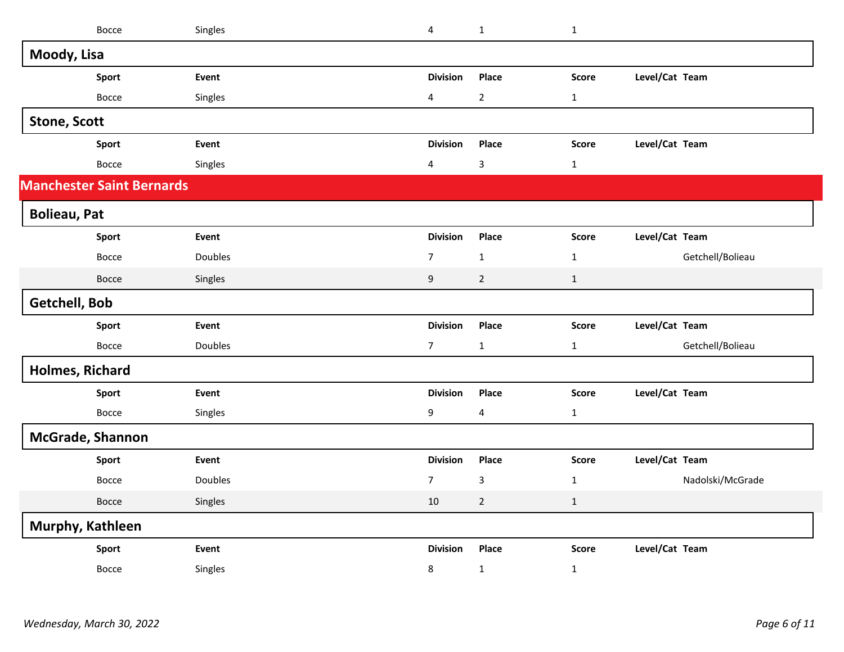| Bocce                            | Singles | $\overline{\mathbf{4}}$ | $\mathbf 1$             | $\mathbf{1}$ |                |                  |
|----------------------------------|---------|-------------------------|-------------------------|--------------|----------------|------------------|
| Moody, Lisa                      |         |                         |                         |              |                |                  |
| Sport                            | Event   | <b>Division</b>         | Place                   | <b>Score</b> | Level/Cat Team |                  |
| Bocce                            | Singles | $\overline{\mathbf{4}}$ | $\overline{2}$          | $\mathbf{1}$ |                |                  |
| <b>Stone, Scott</b>              |         |                         |                         |              |                |                  |
| <b>Sport</b>                     | Event   | <b>Division</b>         | Place                   | <b>Score</b> | Level/Cat Team |                  |
| Bocce                            | Singles | 4                       | $\mathsf 3$             | $\mathbf{1}$ |                |                  |
| <b>Manchester Saint Bernards</b> |         |                         |                         |              |                |                  |
| <b>Bolieau, Pat</b>              |         |                         |                         |              |                |                  |
| Sport                            | Event   | <b>Division</b>         | Place                   | <b>Score</b> | Level/Cat Team |                  |
| Bocce                            | Doubles | $\overline{7}$          | $\mathbf{1}$            | $\mathbf{1}$ |                | Getchell/Bolieau |
| Bocce                            | Singles | 9                       | $\overline{2}$          | $\mathbf{1}$ |                |                  |
| Getchell, Bob                    |         |                         |                         |              |                |                  |
| Sport                            | Event   | <b>Division</b>         | Place                   | <b>Score</b> | Level/Cat Team |                  |
| Bocce                            | Doubles | $\overline{7}$          | $\mathbf 1$             | $\mathbf{1}$ |                | Getchell/Bolieau |
| Holmes, Richard                  |         |                         |                         |              |                |                  |
| <b>Sport</b>                     | Event   | <b>Division</b>         | Place                   | <b>Score</b> | Level/Cat Team |                  |
| Bocce                            | Singles | 9                       | $\overline{\mathbf{4}}$ | $\mathbf{1}$ |                |                  |
| McGrade, Shannon                 |         |                         |                         |              |                |                  |
| Sport                            | Event   | <b>Division</b>         | Place                   | <b>Score</b> | Level/Cat Team |                  |
| Bocce                            | Doubles | $\overline{7}$          | $\mathsf 3$             | $\mathbf{1}$ |                | Nadolski/McGrade |
| Bocce                            | Singles | 10                      | $\overline{2}$          | $\mathbf{1}$ |                |                  |
| Murphy, Kathleen                 |         |                         |                         |              |                |                  |
| <b>Sport</b>                     | Event   | <b>Division</b>         | Place                   | <b>Score</b> | Level/Cat Team |                  |
| <b>Bocce</b>                     | Singles | 8                       | $\mathbf{1}$            | $\mathbf{1}$ |                |                  |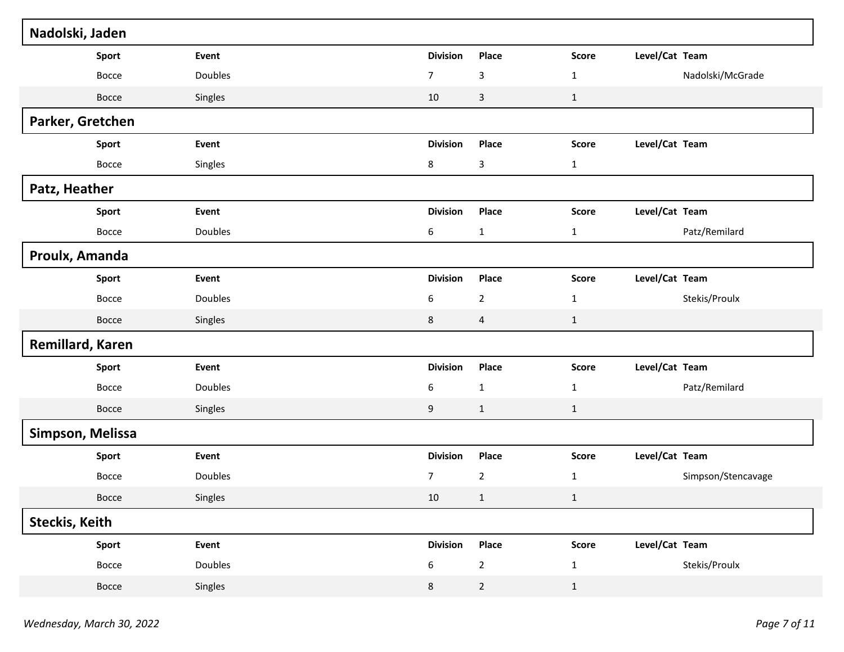| Nadolski, Jaden       |       |         |                  |                         |              |                |                    |
|-----------------------|-------|---------|------------------|-------------------------|--------------|----------------|--------------------|
|                       | Sport | Event   | <b>Division</b>  | Place                   | <b>Score</b> | Level/Cat Team |                    |
|                       | Bocce | Doubles | $\overline{7}$   | 3                       | $\mathbf 1$  |                | Nadolski/McGrade   |
|                       | Bocce | Singles | 10               | $\mathsf{3}$            | $\mathbf{1}$ |                |                    |
| Parker, Gretchen      |       |         |                  |                         |              |                |                    |
|                       | Sport | Event   | <b>Division</b>  | Place                   | <b>Score</b> | Level/Cat Team |                    |
|                       | Bocce | Singles | 8                | 3                       | $\mathbf{1}$ |                |                    |
| Patz, Heather         |       |         |                  |                         |              |                |                    |
|                       | Sport | Event   | <b>Division</b>  | Place                   | <b>Score</b> | Level/Cat Team |                    |
|                       | Bocce | Doubles | $\boldsymbol{6}$ | $\mathbf{1}$            | $\mathbf{1}$ |                | Patz/Remilard      |
| Proulx, Amanda        |       |         |                  |                         |              |                |                    |
|                       | Sport | Event   | <b>Division</b>  | Place                   | <b>Score</b> | Level/Cat Team |                    |
|                       | Bocce | Doubles | 6                | $\overline{2}$          | $\mathbf{1}$ |                | Stekis/Proulx      |
|                       | Bocce | Singles | $\,$ 8 $\,$      | $\overline{\mathbf{4}}$ | $\mathbf{1}$ |                |                    |
| Remillard, Karen      |       |         |                  |                         |              |                |                    |
|                       | Sport | Event   | <b>Division</b>  | Place                   | <b>Score</b> | Level/Cat Team |                    |
|                       | Bocce | Doubles | 6                | $\mathbf{1}$            | $\mathbf{1}$ |                | Patz/Remilard      |
|                       | Bocce | Singles | $\boldsymbol{9}$ | $\mathbf{1}$            | $\mathbf{1}$ |                |                    |
| Simpson, Melissa      |       |         |                  |                         |              |                |                    |
|                       | Sport | Event   | <b>Division</b>  | Place                   | <b>Score</b> | Level/Cat Team |                    |
|                       | Bocce | Doubles | $\overline{7}$   | $\overline{2}$          | $\mathbf 1$  |                | Simpson/Stencavage |
|                       | Bocce | Singles | 10 <sub>1</sub>  | $\mathbf{1}$            | 1            |                |                    |
| <b>Steckis, Keith</b> |       |         |                  |                         |              |                |                    |
|                       | Sport | Event   | <b>Division</b>  | Place                   | <b>Score</b> | Level/Cat Team |                    |
|                       | Bocce | Doubles | $\boldsymbol{6}$ | $\overline{2}$          | $\mathbf{1}$ |                | Stekis/Proulx      |
|                       | Bocce | Singles | 8                | $\overline{2}$          | $\mathbf{1}$ |                |                    |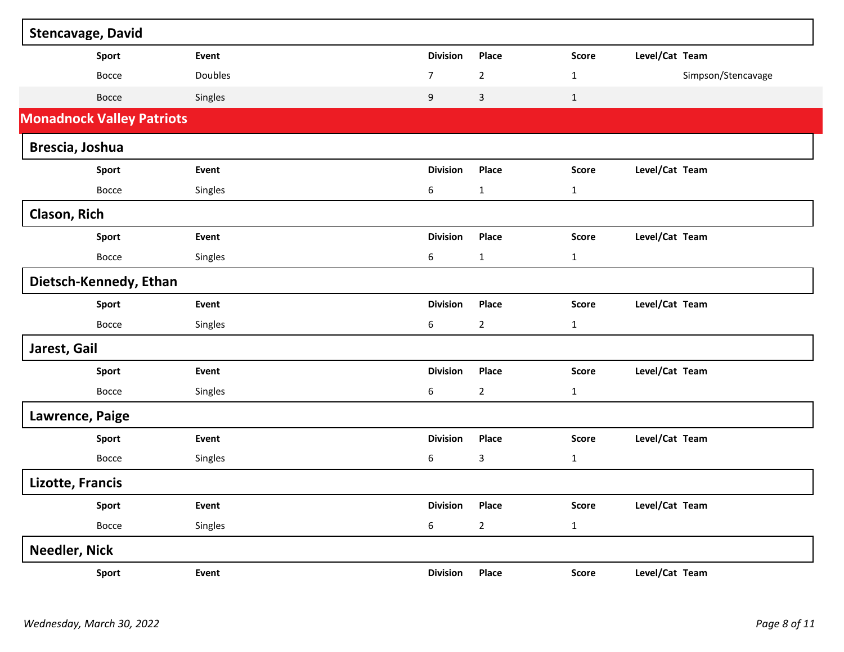| <b>Stencavage, David</b>         |         |  |                  |                |              |                    |  |  |
|----------------------------------|---------|--|------------------|----------------|--------------|--------------------|--|--|
| Sport                            | Event   |  | <b>Division</b>  | Place          | <b>Score</b> | Level/Cat Team     |  |  |
| Bocce                            | Doubles |  | $\boldsymbol{7}$ | $\overline{2}$ | $\mathbf{1}$ | Simpson/Stencavage |  |  |
| Bocce                            | Singles |  | 9                | $\mathsf{3}$   | $\mathbf{1}$ |                    |  |  |
| <b>Monadnock Valley Patriots</b> |         |  |                  |                |              |                    |  |  |
| Brescia, Joshua                  |         |  |                  |                |              |                    |  |  |
| Sport                            | Event   |  | <b>Division</b>  | Place          | <b>Score</b> | Level/Cat Team     |  |  |
| Bocce                            | Singles |  | 6                | $\mathbf{1}$   | $\mathbf{1}$ |                    |  |  |
| Clason, Rich                     |         |  |                  |                |              |                    |  |  |
| <b>Sport</b>                     | Event   |  | <b>Division</b>  | Place          | <b>Score</b> | Level/Cat Team     |  |  |
| Bocce                            | Singles |  | 6                | $\mathbf{1}$   | $\mathbf{1}$ |                    |  |  |
| Dietsch-Kennedy, Ethan           |         |  |                  |                |              |                    |  |  |
| Sport                            | Event   |  | <b>Division</b>  | Place          | <b>Score</b> | Level/Cat Team     |  |  |
| Bocce                            | Singles |  | 6                | $\overline{2}$ | $\mathbf{1}$ |                    |  |  |
| Jarest, Gail                     |         |  |                  |                |              |                    |  |  |
| Sport                            | Event   |  | <b>Division</b>  | Place          | <b>Score</b> | Level/Cat Team     |  |  |
| Bocce                            | Singles |  | 6                | $\overline{2}$ | $\mathbf{1}$ |                    |  |  |
| Lawrence, Paige                  |         |  |                  |                |              |                    |  |  |
| Sport                            | Event   |  | <b>Division</b>  | Place          | <b>Score</b> | Level/Cat Team     |  |  |
| Bocce                            | Singles |  | 6                | 3              | $\mathbf{1}$ |                    |  |  |
| Lizotte, Francis                 |         |  |                  |                |              |                    |  |  |
| Sport                            | Event   |  | <b>Division</b>  | Place          | Score        | Level/Cat Team     |  |  |
| Bocce                            | Singles |  | $\boldsymbol{6}$ | $\overline{2}$ | $\mathbf{1}$ |                    |  |  |
| Needler, Nick                    |         |  |                  |                |              |                    |  |  |
| Sport                            | Event   |  | <b>Division</b>  | Place          | Score        | Level/Cat Team     |  |  |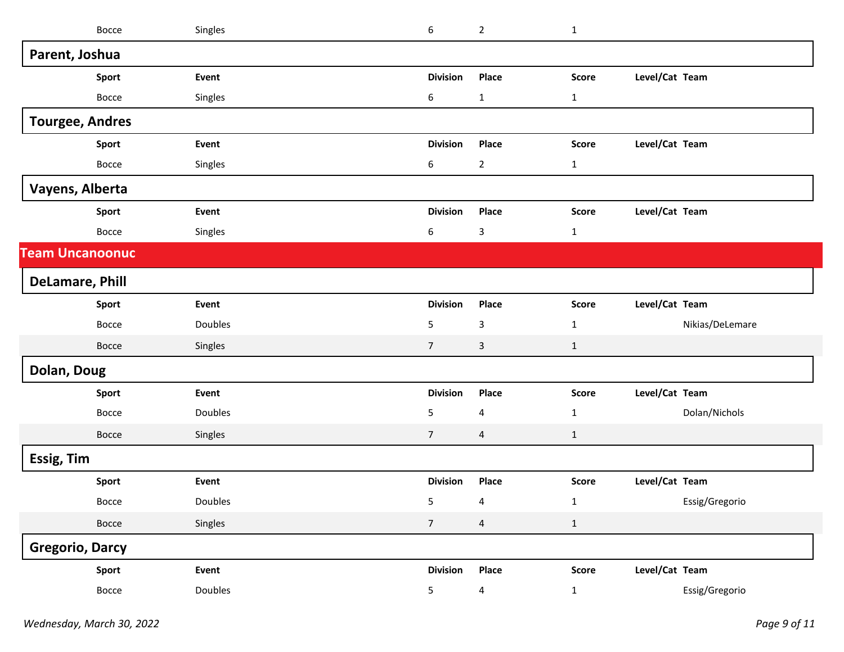|                        | Bocce        | Singles | 6               | $\overline{2}$          | $\mathbf{1}$ |                |                 |
|------------------------|--------------|---------|-----------------|-------------------------|--------------|----------------|-----------------|
| Parent, Joshua         |              |         |                 |                         |              |                |                 |
|                        | Sport        | Event   | <b>Division</b> | Place                   | <b>Score</b> | Level/Cat Team |                 |
|                        | Bocce        | Singles | 6               | $\mathbf{1}$            | $\mathbf{1}$ |                |                 |
| <b>Tourgee, Andres</b> |              |         |                 |                         |              |                |                 |
|                        | Sport        | Event   | <b>Division</b> | Place                   | <b>Score</b> | Level/Cat Team |                 |
|                        | Bocce        | Singles | 6               | $\overline{2}$          | $\mathbf{1}$ |                |                 |
| Vayens, Alberta        |              |         |                 |                         |              |                |                 |
|                        | Sport        | Event   | <b>Division</b> | Place                   | <b>Score</b> | Level/Cat Team |                 |
|                        | Bocce        | Singles | 6               | 3                       | $\mathbf{1}$ |                |                 |
| <b>Team Uncanoonuc</b> |              |         |                 |                         |              |                |                 |
| <b>DeLamare, Phill</b> |              |         |                 |                         |              |                |                 |
|                        | Sport        | Event   | <b>Division</b> | Place                   | <b>Score</b> | Level/Cat Team |                 |
|                        | Bocce        | Doubles | 5               | 3                       | $\mathbf{1}$ |                | Nikias/DeLemare |
|                        | <b>Bocce</b> | Singles | $\overline{7}$  | 3                       | $\mathbf{1}$ |                |                 |
| Dolan, Doug            |              |         |                 |                         |              |                |                 |
|                        | Sport        | Event   | <b>Division</b> | Place                   | <b>Score</b> | Level/Cat Team |                 |
|                        | Bocce        | Doubles | 5               | 4                       | $\mathbf{1}$ |                | Dolan/Nichols   |
|                        | Bocce        | Singles | $\overline{7}$  | 4                       | $\mathbf{1}$ |                |                 |
| Essig, Tim             |              |         |                 |                         |              |                |                 |
|                        | Sport        | Event   | <b>Division</b> | Place                   | <b>Score</b> | Level/Cat Team |                 |
|                        | Bocce        | Doubles | 5 <sub>1</sub>  | $\overline{4}$          | 1            |                | Essig/Gregorio  |
|                        | Bocce        | Singles | $\overline{7}$  | $\overline{4}$          | $\mathbf 1$  |                |                 |
| <b>Gregorio, Darcy</b> |              |         |                 |                         |              |                |                 |
|                        | Sport        | Event   | <b>Division</b> | Place                   | Score        | Level/Cat Team |                 |
|                        | Bocce        | Doubles | 5               | $\overline{\mathbf{4}}$ | $\mathbf{1}$ |                | Essig/Gregorio  |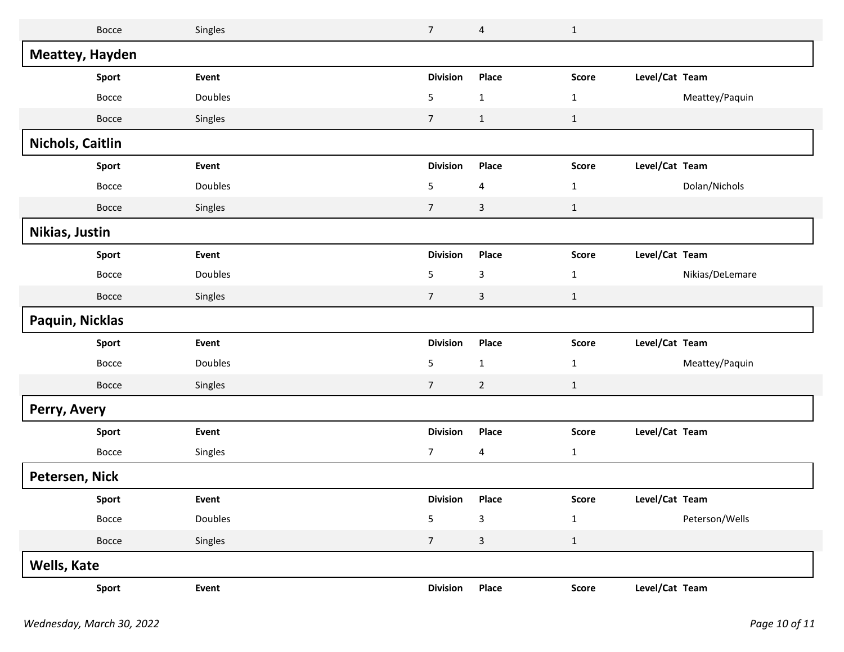| Bocce            | Singles | $\overline{7}$  | 4              | $1\,$        |                |                 |
|------------------|---------|-----------------|----------------|--------------|----------------|-----------------|
| Meattey, Hayden  |         |                 |                |              |                |                 |
| Sport            | Event   | <b>Division</b> | Place          | <b>Score</b> | Level/Cat Team |                 |
| Bocce            | Doubles | 5               | $\mathbf 1$    | $\mathbf{1}$ |                | Meattey/Paquin  |
| Bocce            | Singles | $\overline{7}$  | $\mathbf{1}$   | $\mathbf{1}$ |                |                 |
| Nichols, Caitlin |         |                 |                |              |                |                 |
| Sport            | Event   | <b>Division</b> | Place          | <b>Score</b> | Level/Cat Team |                 |
| Bocce            | Doubles | 5               | 4              | $\mathbf{1}$ |                | Dolan/Nichols   |
| Bocce            | Singles | $\overline{7}$  | $\mathsf{3}$   | $\mathbf{1}$ |                |                 |
| Nikias, Justin   |         |                 |                |              |                |                 |
| Sport            | Event   | <b>Division</b> | Place          | <b>Score</b> | Level/Cat Team |                 |
| Bocce            | Doubles | $\sqrt{5}$      | 3              | $\mathbf{1}$ |                | Nikias/DeLemare |
| Bocce            | Singles | $\overline{7}$  | $\mathbf{3}$   | $\mathbf{1}$ |                |                 |
| Paquin, Nicklas  |         |                 |                |              |                |                 |
| Sport            | Event   | <b>Division</b> | Place          | <b>Score</b> | Level/Cat Team |                 |
| Bocce            | Doubles | 5               | $\mathbf 1$    | $\mathbf{1}$ |                | Meattey/Paquin  |
| Bocce            | Singles | $\overline{7}$  | $\overline{2}$ | $\mathbf{1}$ |                |                 |
| Perry, Avery     |         |                 |                |              |                |                 |
| Sport            | Event   | <b>Division</b> | Place          | <b>Score</b> | Level/Cat Team |                 |
| Bocce            | Singles | 7               | 4              | $\mathbf{1}$ |                |                 |
| Petersen, Nick   |         |                 |                |              |                |                 |
| <b>Sport</b>     | Event   | Division Place  |                | Score        | Level/Cat Team |                 |
| Bocce            | Doubles | 5               | $\mathbf{3}$   | $\mathbf{1}$ |                | Peterson/Wells  |
| Bocce            | Singles | $7\overline{ }$ | $\mathsf{3}$   | $\mathbf{1}$ |                |                 |
| Wells, Kate      |         |                 |                |              |                |                 |
| Sport            | Event   | <b>Division</b> | Place          | Score        | Level/Cat Team |                 |